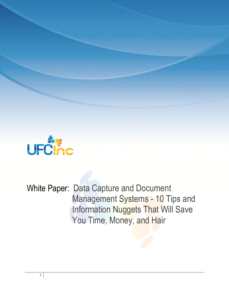

White Paper: Data Capture and Document Management Systems - 10 Tips and Information Nuggets That Will Save You Time, Money, and Hair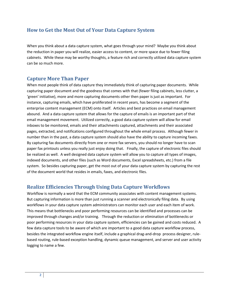## **How to Get the Most Out of Your Data Capture System**

When you think about a data capture system, what goes through your mind? Maybe you think about the reduction in paper you will realize, easier access to content, or more space due to fewer filing cabinets. While these may be worthy thoughts, a feature rich and correctly utilized data capture system can be so much more.

## **Capture More Than Paper**

When most people think of data capture they immediately think of capturing paper documents. While capturing paper document and the goodness that comes with that (fewer filing cabinets, less clutter, a 'green' initiative), more and more capturing documents other then paper is just as important. For instance, capturing emails, which have proliferated in recent years, has become a segment of the enterprise content management (ECM) onto itself. Articles and best practices on email management abound. And a data capture system that allows for the capture of emails is an important part of that email management movement. Utilized correctly, a good data capture system will allow for email inboxes to be monitored, emails and their attachments captured, attachments and their associated pages, extracted, and notifications configured throughout the whole email process. Although fewer in number than in the past, a data capture system should also have the ability to capture incoming faxes. By capturing fax documents directly from one or more fax servers, you should no longer have to scan paper fax printouts unless you really just enjoy doing that. Finally, the capture of electronic files should be realized as well. A well designed data capture system will allow you to capture all types of images, indexed documents, and other files (such as Word documents, Excel spreadsheets, etc.) from a file system. So besides capturing paper, get the most out of your data capture system by capturing the rest of the document world that resides in emails, faxes, and electronic files.

## **Realize Efficiencies Through Using Data Capture Workflows**

Workflow is normally a word that the ECM community associates with content management systems. But capturing information is more than just running a scanner and electronically filing data. By using workflows in your data capture system administrators can monitor each user and each item of work. This means that bottlenecks and poor performing resources can be identified and processes can be improved through changes and/or training. Through the reduction or elimination of bottlenecks or poor performing resources in your data capture system, efficiencies can be gained and costs reduced. A few data capture tools to be aware of which are important to a good data capture workflow process, besides the integrated workflow engine itself, include a graphical drag-and-drop process designer, rulebased routing, rule-based exception handling, dynamic queue management, and server and user activity logging to name a few.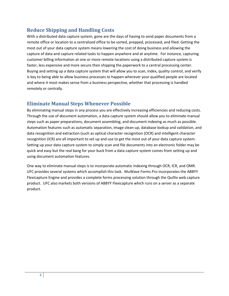# **Reduce Shipping and Handling Costs**

With a distributed data capture system, gone are the days of having to send paper documents from a remote office or location to a centralized office to be sorted, prepped, processed, and filed. Getting the most out of your data capture system means lowering the cost of doing business and allowing the capture of data and capture related tasks to happen anywhere and at anytime. For instance, capturing customer billing information at one or more remote locations using a distributed capture system is faster, less expensive and more secure then shipping the paperwork to a central processing center. Buying and setting up a data capture system that will allow you to scan, index, quality control, and verify is key to being able to allow business processes to happen wherever your qualified people are located and where it most makes sense from a business perspective, whether that processing is handled remotely or centrally.

## **Eliminate Manual Steps Whenever Possible**

By eliminating manual steps in any process you are effectively increasing efficiencies and reducing costs. Through the use of document automation, a data capture system should allow you to eliminate manual steps such as paper preparations, document assembling, and document indexing as much as possible. Automation features such as automatic separation, image clean-up, database lookup and validation, and data recognition and extraction (such as optical character recognition (OCR) and intelligent character recognition (ICR) are all important to set up and use to get the most out of your data capture system. Setting up your data capture system to simply scan and file documents into an electronic folder may be quick and easy but the real bang for your buck from a data capture system comes from setting up and using document automation features.

One way to eliminate manual steps is to incorporate automatic indexing through OCR, ICR, and OMR. UFC provides several systems which accomplish this task. MuWave Forms Pro incorporates the ABBYY Flexicapture Engine and provides a complete forms processing solution through the Quillix web capture product. UFC also markets both versions of ABBYY Flexicapture which runs on a server as a separate product.